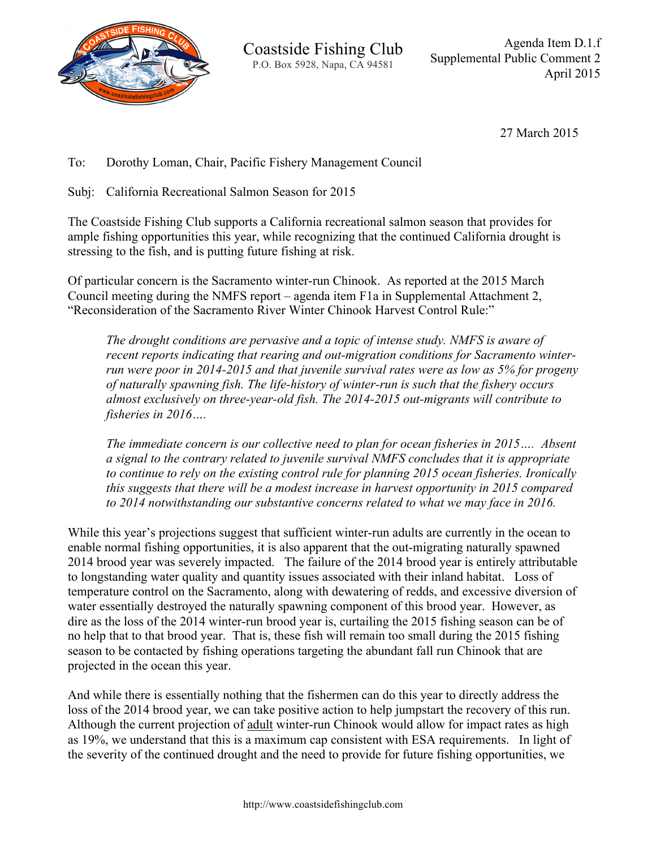

27 March 2015

To: Dorothy Loman, Chair, Pacific Fishery Management Council

Subj: California Recreational Salmon Season for 2015

The Coastside Fishing Club supports a California recreational salmon season that provides for ample fishing opportunities this year, while recognizing that the continued California drought is stressing to the fish, and is putting future fishing at risk.

Of particular concern is the Sacramento winter-run Chinook. As reported at the 2015 March Council meeting during the NMFS report – agenda item F1a in Supplemental Attachment 2, "Reconsideration of the Sacramento River Winter Chinook Harvest Control Rule:"

*The drought conditions are pervasive and a topic of intense study. NMFS is aware of recent reports indicating that rearing and out-migration conditions for Sacramento winterrun were poor in 2014-2015 and that juvenile survival rates were as low as 5% for progeny of naturally spawning fish. The life-history of winter-run is such that the fishery occurs almost exclusively on three-year-old fish. The 2014-2015 out-migrants will contribute to fisheries in 2016….*

*The immediate concern is our collective need to plan for ocean fisheries in 2015…. Absent a signal to the contrary related to juvenile survival NMFS concludes that it is appropriate to continue to rely on the existing control rule for planning 2015 ocean fisheries. Ironically this suggests that there will be a modest increase in harvest opportunity in 2015 compared to 2014 notwithstanding our substantive concerns related to what we may face in 2016.*

While this year's projections suggest that sufficient winter-run adults are currently in the ocean to enable normal fishing opportunities, it is also apparent that the out-migrating naturally spawned 2014 brood year was severely impacted. The failure of the 2014 brood year is entirely attributable to longstanding water quality and quantity issues associated with their inland habitat. Loss of temperature control on the Sacramento, along with dewatering of redds, and excessive diversion of water essentially destroyed the naturally spawning component of this brood year. However, as dire as the loss of the 2014 winter-run brood year is, curtailing the 2015 fishing season can be of no help that to that brood year. That is, these fish will remain too small during the 2015 fishing season to be contacted by fishing operations targeting the abundant fall run Chinook that are projected in the ocean this year.

And while there is essentially nothing that the fishermen can do this year to directly address the loss of the 2014 brood year, we can take positive action to help jumpstart the recovery of this run. Although the current projection of adult winter-run Chinook would allow for impact rates as high as 19%, we understand that this is a maximum cap consistent with ESA requirements. In light of the severity of the continued drought and the need to provide for future fishing opportunities, we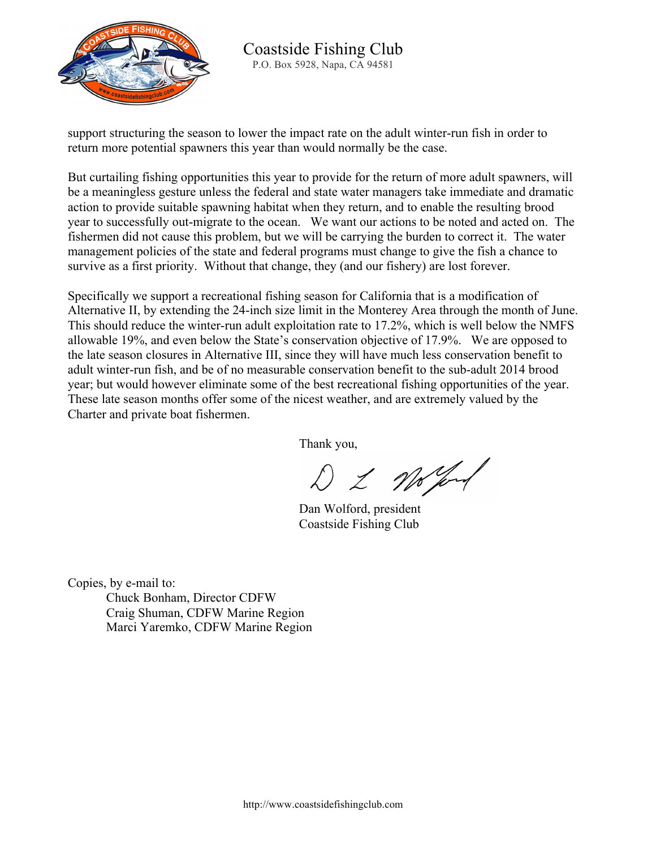

support structuring the season to lower the impact rate on the adult winter-run fish in order to return more potential spawners this year than would normally be the case.

But curtailing fishing opportunities this year to provide for the return of more adult spawners, will be a meaningless gesture unless the federal and state water managers take immediate and dramatic action to provide suitable spawning habitat when they return, and to enable the resulting brood year to successfully out-migrate to the ocean. We want our actions to be noted and acted on. The fishermen did not cause this problem, but we will be carrying the burden to correct it. The water management policies of the state and federal programs must change to give the fish a chance to survive as a first priority. Without that change, they (and our fishery) are lost forever.

Specifically we support a recreational fishing season for California that is a modification of Alternative II, by extending the 24-inch size limit in the Monterey Area through the month of June. This should reduce the winter-run adult exploitation rate to 17.2%, which is well below the NMFS allowable 19%, and even below the State's conservation objective of 17.9%. We are opposed to the late season closures in Alternative III, since they will have much less conservation benefit to adult winter-run fish, and be of no measurable conservation benefit to the sub-adult 2014 brood year; but would however eliminate some of the best recreational fishing opportunities of the year. These late season months offer some of the nicest weather, and are extremely valued by the Charter and private boat fishermen.

Thank you,

D & Wo prof

Dan Wolford, president Coastside Fishing Club

Copies, by e-mail to: Chuck Bonham, Director CDFW Craig Shuman, CDFW Marine Region Marci Yaremko, CDFW Marine Region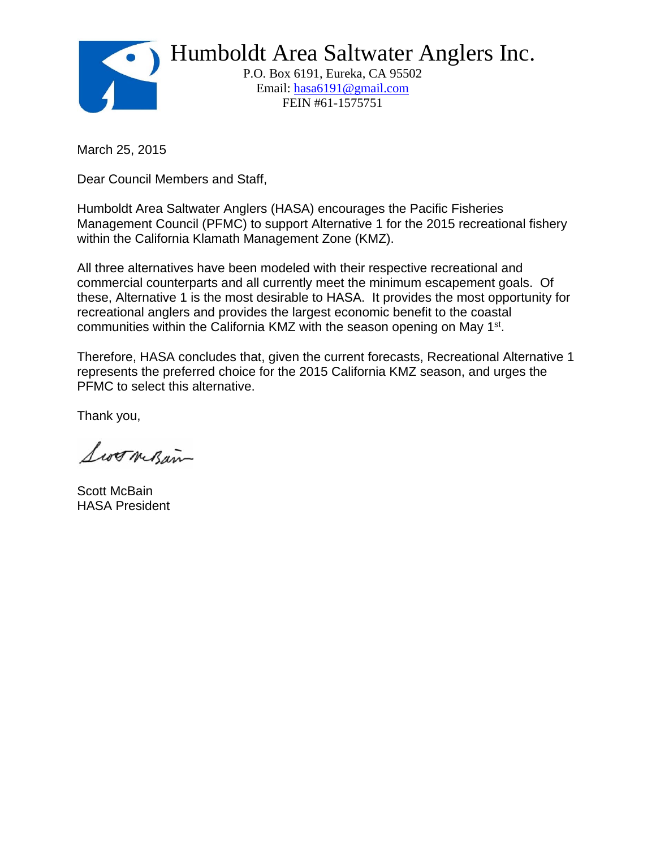

Humboldt Area Saltwater Anglers Inc.

 P.O. Box 6191, Eureka, CA 95502 Email: hasa6191@gmail.com FEIN #61-1575751

March 25, 2015

Dear Council Members and Staff,

Humboldt Area Saltwater Anglers (HASA) encourages the Pacific Fisheries Management Council (PFMC) to support Alternative 1 for the 2015 recreational fishery within the California Klamath Management Zone (KMZ).

All three alternatives have been modeled with their respective recreational and commercial counterparts and all currently meet the minimum escapement goals. Of these, Alternative 1 is the most desirable to HASA. It provides the most opportunity for recreational anglers and provides the largest economic benefit to the coastal communities within the California KMZ with the season opening on May 1<sup>st</sup>.

Therefore, HASA concludes that, given the current forecasts, Recreational Alternative 1 represents the preferred choice for the 2015 California KMZ season, and urges the PFMC to select this alternative.

Thank you,

Swornsan

Scott McBain HASA President